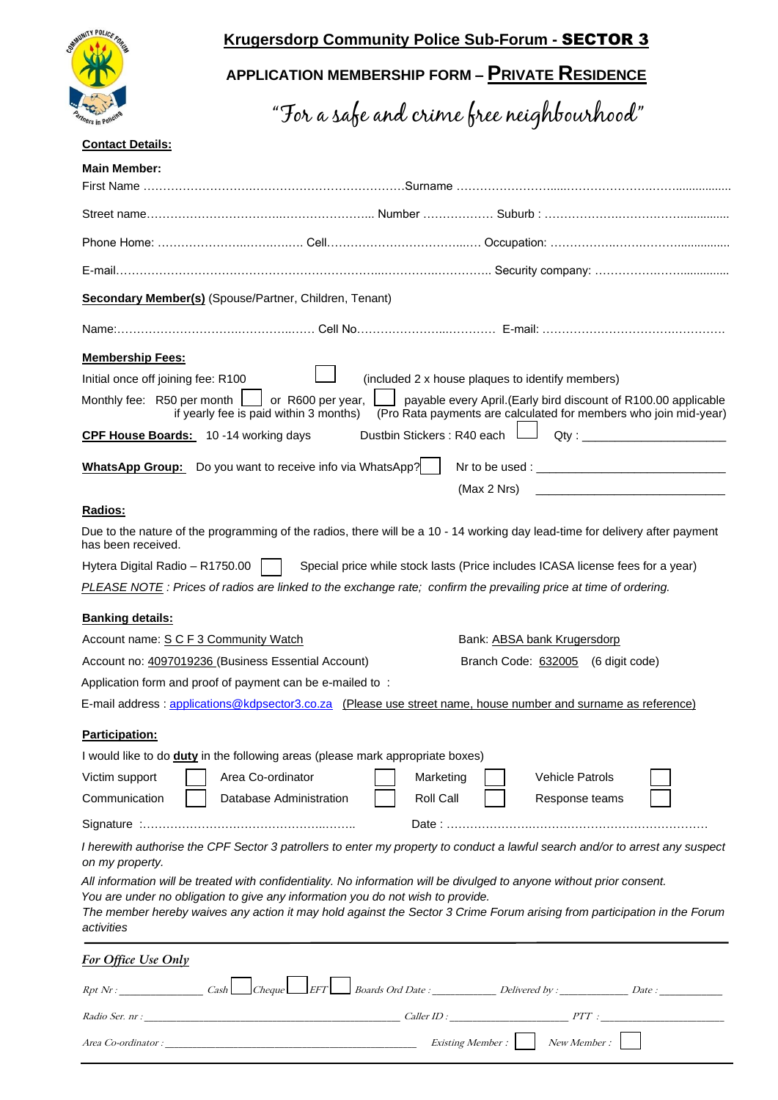

## **Krugersdorp Community Police Sub-Forum -** SECTOR 3

# **APPLICATION MEMBERSHIP FORM – PRIVATE RESIDENCE**

"For a safe and crime free neighbourhood"

#### **Contact Details:**

| <b>Secondary Member(s)</b> (Spouse/Partner, Children, Tenant)                                                                                                                                                                             |                                                                                                                                                                                                             |  |  |
|-------------------------------------------------------------------------------------------------------------------------------------------------------------------------------------------------------------------------------------------|-------------------------------------------------------------------------------------------------------------------------------------------------------------------------------------------------------------|--|--|
|                                                                                                                                                                                                                                           |                                                                                                                                                                                                             |  |  |
| <b>Membership Fees:</b>                                                                                                                                                                                                                   |                                                                                                                                                                                                             |  |  |
| Initial once off joining fee: R100                                                                                                                                                                                                        | (included 2 x house plaques to identify members)                                                                                                                                                            |  |  |
| Monthly fee: R50 per month                                                                                                                                                                                                                | or R600 per year,<br>payable every April. (Early bird discount of R100.00 applicable<br>(Pro Rata payments are calculated for members who join mid-year)<br>if yearly fee is paid within 3 months)          |  |  |
| CPF House Boards: 10 -14 working days                                                                                                                                                                                                     | Dustbin Stickers : R40 each L                                                                                                                                                                               |  |  |
|                                                                                                                                                                                                                                           | <b>WhatsApp Group:</b> Do you want to receive info via WhatsApp?                                                                                                                                            |  |  |
|                                                                                                                                                                                                                                           | (Max 2 Nrs)<br>the control of the control of the control of the control of the control of                                                                                                                   |  |  |
| Radios:                                                                                                                                                                                                                                   |                                                                                                                                                                                                             |  |  |
| has been received.                                                                                                                                                                                                                        | Due to the nature of the programming of the radios, there will be a 10 - 14 working day lead-time for delivery after payment                                                                                |  |  |
| Hytera Digital Radio - R1750.00                                                                                                                                                                                                           | Special price while stock lasts (Price includes ICASA license fees for a year)                                                                                                                              |  |  |
|                                                                                                                                                                                                                                           | PLEASE NOTE: Prices of radios are linked to the exchange rate; confirm the prevailing price at time of ordering.                                                                                            |  |  |
|                                                                                                                                                                                                                                           |                                                                                                                                                                                                             |  |  |
|                                                                                                                                                                                                                                           |                                                                                                                                                                                                             |  |  |
|                                                                                                                                                                                                                                           |                                                                                                                                                                                                             |  |  |
|                                                                                                                                                                                                                                           | Bank: ABSA bank Krugersdorp                                                                                                                                                                                 |  |  |
|                                                                                                                                                                                                                                           | Branch Code: 632005 (6 digit code)                                                                                                                                                                          |  |  |
|                                                                                                                                                                                                                                           | E-mail address: applications@kdpsector3.co.za (Please use street name, house number and surname as reference)                                                                                               |  |  |
|                                                                                                                                                                                                                                           |                                                                                                                                                                                                             |  |  |
|                                                                                                                                                                                                                                           |                                                                                                                                                                                                             |  |  |
|                                                                                                                                                                                                                                           | I would like to do <b>duty</b> in the following areas (please mark appropriate boxes)<br>Area Co-ordinator<br>Marketing<br>Vehicle Patrols                                                                  |  |  |
|                                                                                                                                                                                                                                           | Roll Call<br>Database Administration<br>Response teams                                                                                                                                                      |  |  |
|                                                                                                                                                                                                                                           |                                                                                                                                                                                                             |  |  |
| <b>Banking details:</b><br>Account name: S C F 3 Community Watch<br>Account no: 4097019236 (Business Essential Account)<br>Application form and proof of payment can be e-mailed to:<br>Participation:<br>Victim support<br>Communication | I herewith authorise the CPF Sector 3 patrollers to enter my property to conduct a lawful search and/or to arrest any suspect                                                                               |  |  |
|                                                                                                                                                                                                                                           | All information will be treated with confidentiality. No information will be divulged to anyone without prior consent.                                                                                      |  |  |
|                                                                                                                                                                                                                                           | You are under no obligation to give any information you do not wish to provide.<br>The member hereby waives any action it may hold against the Sector 3 Crime Forum arising from participation in the Forum |  |  |
| on my property.<br>activities<br><b>For Office Use Only</b>                                                                                                                                                                               |                                                                                                                                                                                                             |  |  |
| $Rpt\,Nr$ : $Cash$ Cash Cheque EFT                                                                                                                                                                                                        | Boards Ord Date : Delivered by : Desimble 2 Date :                                                                                                                                                          |  |  |